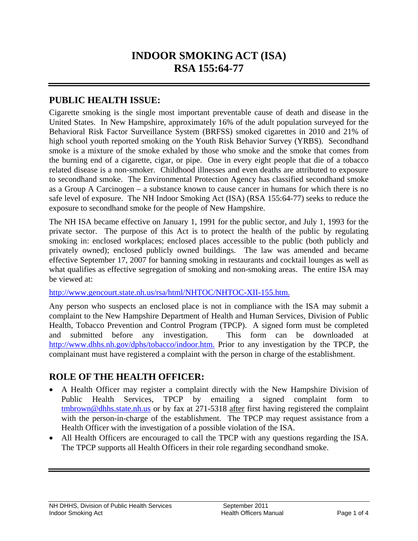# **INDOOR SMOKING ACT (ISA) RSA 155:64-77**

#### **PUBLIC HEALTH ISSUE:**

Cigarette smoking is the single most important preventable cause of death and disease in the United States. In New Hampshire, approximately 16% of the adult population surveyed for the Behavioral Risk Factor Surveillance System (BRFSS) smoked cigarettes in 2010 and 21% of high school youth reported smoking on the Youth Risk Behavior Survey (YRBS). Secondhand smoke is a mixture of the smoke exhaled by those who smoke and the smoke that comes from the burning end of a cigarette, cigar, or pipe. One in every eight people that die of a tobacco related disease is a non-smoker. Childhood illnesses and even deaths are attributed to exposure to secondhand smoke. The Environmental Protection Agency has classified secondhand smoke as a Group A Carcinogen – a substance known to cause cancer in humans for which there is no safe level of exposure. The NH Indoor Smoking Act (ISA) (RSA 155:64-77) seeks to reduce the exposure to secondhand smoke for the people of New Hampshire.

The NH ISA became effective on January 1, 1991 for the public sector, and July 1, 1993 for the private sector. The purpose of this Act is to protect the health of the public by regulating smoking in: enclosed workplaces; enclosed places accessible to the public (both publicly and privately owned); enclosed publicly owned buildings. The law was amended and became effective September 17, 2007 for banning smoking in restaurants and cocktail lounges as well as what qualifies as effective segregation of smoking and non-smoking areas. The entire ISA may be viewed at:

#### http://www.gencourt.state.nh.us/rsa/html/NHTOC/NHTOC-XII-155.htm.

Any person who suspects an enclosed place is not in compliance with the ISA may submit a complaint to the New Hampshire Department of Health and Human Services, Division of Public Health, Tobacco Prevention and Control Program (TPCP). A signed form must be completed and submitted before any investigation. This form can be downloaded at http://www.dhhs.nh.gov/dphs/tobacco/indoor.htm. Prior to any investigation by the TPCP, the complainant must have registered a complaint with the person in charge of the establishment.

#### **ROLE OF THE HEALTH OFFICER:**

- A Health Officer may register a complaint directly with the New Hampshire Division of Public Health Services, TPCP by emailing a signed complaint form to tmbrown@dhhs.state.nh.us or by fax at 271-5318 after first having registered the complaint with the person-in-charge of the establishment. The TPCP may request assistance from a Health Officer with the investigation of a possible violation of the ISA.
- All Health Officers are encouraged to call the TPCP with any questions regarding the ISA. The TPCP supports all Health Officers in their role regarding secondhand smoke.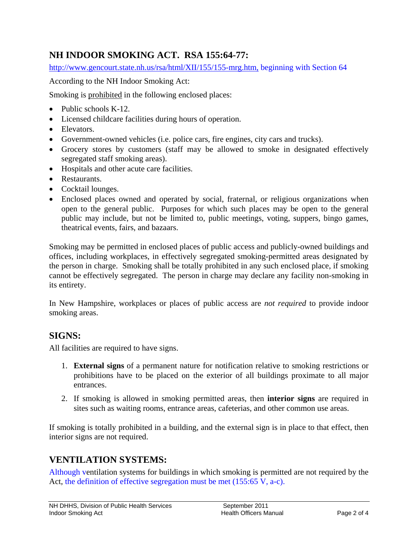### **NH INDOOR SMOKING ACT. RSA 155:64-77:**

http://www.gencourt.state.nh.us/rsa/html/XII/155/155-mrg.htm, beginning with Section 64

According to the NH Indoor Smoking Act:

Smoking is prohibited in the following enclosed places:

- Public schools K-12.
- Licensed childcare facilities during hours of operation.
- Elevators.
- Government-owned vehicles (i.e. police cars, fire engines, city cars and trucks).
- Grocery stores by customers (staff may be allowed to smoke in designated effectively segregated staff smoking areas).
- Hospitals and other acute care facilities.
- Restaurants.
- Cocktail lounges.
- Enclosed places owned and operated by social, fraternal, or religious organizations when open to the general public. Purposes for which such places may be open to the general public may include, but not be limited to, public meetings, voting, suppers, bingo games, theatrical events, fairs, and bazaars.

Smoking may be permitted in enclosed places of public access and publicly-owned buildings and offices, including workplaces, in effectively segregated smoking-permitted areas designated by the person in charge. Smoking shall be totally prohibited in any such enclosed place, if smoking cannot be effectively segregated. The person in charge may declare any facility non-smoking in its entirety.

In New Hampshire, workplaces or places of public access are *not required* to provide indoor smoking areas.

#### **SIGNS:**

All facilities are required to have signs.

- 1. **External signs** of a permanent nature for notification relative to smoking restrictions or prohibitions have to be placed on the exterior of all buildings proximate to all major entrances.
- 2. If smoking is allowed in smoking permitted areas, then **interior signs** are required in sites such as waiting rooms, entrance areas, cafeterias, and other common use areas.

If smoking is totally prohibited in a building, and the external sign is in place to that effect, then interior signs are not required.

### **VENTILATION SYSTEMS:**

Although ventilation systems for buildings in which smoking is permitted are not required by the Act, the definition of effective segregation must be met (155:65 V, a-c).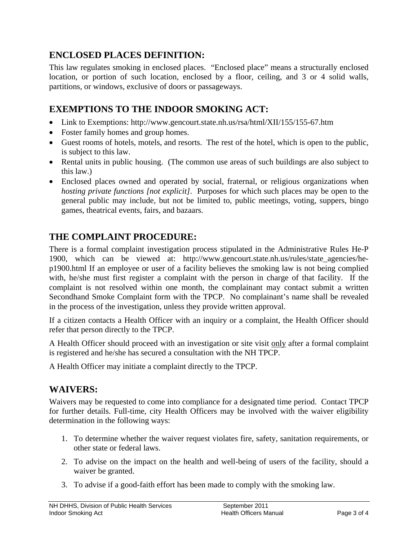### **ENCLOSED PLACES DEFINITION:**

This law regulates smoking in enclosed places. "Enclosed place" means a structurally enclosed location, or portion of such location, enclosed by a floor, ceiling, and 3 or 4 solid walls, partitions, or windows, exclusive of doors or passageways.

### **EXEMPTIONS TO THE INDOOR SMOKING ACT:**

- Link to Exemptions: http://www.gencourt.state.nh.us/rsa/html/XII/155/155-67.htm
- Foster family homes and group homes.
- Guest rooms of hotels, motels, and resorts. The rest of the hotel, which is open to the public, is subject to this law.
- Rental units in public housing. (The common use areas of such buildings are also subject to this law.)
- Enclosed places owned and operated by social, fraternal, or religious organizations when *hosting private functions [not explicit]*. Purposes for which such places may be open to the general public may include, but not be limited to, public meetings, voting, suppers, bingo games, theatrical events, fairs, and bazaars.

### **THE COMPLAINT PROCEDURE:**

There is a formal complaint investigation process stipulated in the Administrative Rules He-P 1900, which can be viewed at: http://www.gencourt.state.nh.us/rules/state\_agencies/hep1900.html If an employee or user of a facility believes the smoking law is not being complied with, he/she must first register a complaint with the person in charge of that facility. If the complaint is not resolved within one month, the complainant may contact submit a written Secondhand Smoke Complaint form with the TPCP. No complainant's name shall be revealed in the process of the investigation, unless they provide written approval.

If a citizen contacts a Health Officer with an inquiry or a complaint, the Health Officer should refer that person directly to the TPCP.

A Health Officer should proceed with an investigation or site visit only after a formal complaint is registered and he/she has secured a consultation with the NH TPCP.

A Health Officer may initiate a complaint directly to the TPCP.

#### **WAIVERS:**

Waivers may be requested to come into compliance for a designated time period. Contact TPCP for further details. Full-time, city Health Officers may be involved with the waiver eligibility determination in the following ways:

- 1. To determine whether the waiver request violates fire, safety, sanitation requirements, or other state or federal laws.
- 2. To advise on the impact on the health and well-being of users of the facility, should a waiver be granted.
- 3. To advise if a good-faith effort has been made to comply with the smoking law.